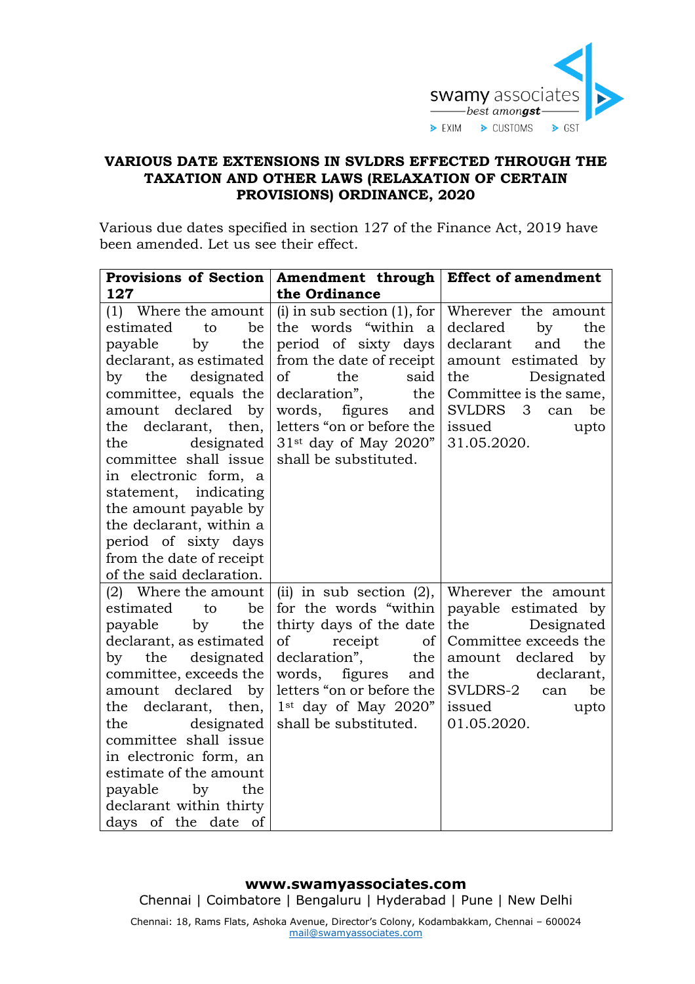

## **VARIOUS DATE EXTENSIONS IN SVLDRS EFFECTED THROUGH THE TAXATION AND OTHER LAWS (RELAXATION OF CERTAIN PROVISIONS) ORDINANCE, 2020**

Various due dates specified in section 127 of the Finance Act, 2019 have been amended. Let us see their effect.

|                          | Provisions of Section   Amendment through   Effect of amendment |                                                       |
|--------------------------|-----------------------------------------------------------------|-------------------------------------------------------|
| 127                      | the Ordinance                                                   |                                                       |
| $(1)$ Where the amount   | $(i)$ in sub section $(1)$ , for                                | Wherever the amount                                   |
| estimated<br>be<br>to    | the words "within a                                             | declared<br>by<br>the                                 |
| payable<br>the<br>by     | period of sixty days                                            | declarant<br>and<br>the                               |
| declarant, as estimated  | from the date of receipt                                        | amount estimated by                                   |
| by the designated        | of<br>the<br>said                                               | the<br>Designated                                     |
| committee, equals the    | declaration",<br>the                                            | Committee is the same,                                |
| amount declared by       | words,<br>figures<br>and                                        | <b>SVLDRS</b><br>$\overline{\mathbf{3}}$<br>can<br>be |
| the declarant, then,     | letters "on or before the                                       | issued<br>upto                                        |
| designated<br>the        | 31 <sup>st</sup> day of May 2020"                               | 31.05.2020.                                           |
| committee shall issue    | shall be substituted.                                           |                                                       |
| in electronic form, a    |                                                                 |                                                       |
| statement, indicating    |                                                                 |                                                       |
| the amount payable by    |                                                                 |                                                       |
| the declarant, within a  |                                                                 |                                                       |
| period of sixty days     |                                                                 |                                                       |
| from the date of receipt |                                                                 |                                                       |
| of the said declaration. |                                                                 |                                                       |
| (2) Where the amount     | (ii) in sub section $(2)$ ,                                     | Wherever the amount                                   |
| estimated<br>to<br>be    | for the words "within                                           | payable estimated by                                  |
| payable<br>by<br>the     | thirty days of the date                                         | Designated<br>the                                     |
| declarant, as estimated  | of<br>receipt<br>of                                             | Committee exceeds the                                 |
| designated<br>by<br>the  | declaration",<br>the                                            | amount declared<br>by                                 |
| committee, exceeds the   | figures<br>words,<br>and                                        | the<br>declarant,                                     |
| amount<br>declared by    | letters "on or before the                                       | SVLDRS-2<br>be<br>can                                 |
| the declarant, then,     | $1st$ day of May 2020"                                          | issued<br>upto                                        |
| the<br>designated        | shall be substituted.                                           | 01.05.2020.                                           |
| committee shall issue    |                                                                 |                                                       |
| in electronic form, an   |                                                                 |                                                       |
| estimate of the amount   |                                                                 |                                                       |
| payable<br>by<br>the     |                                                                 |                                                       |
| declarant within thirty  |                                                                 |                                                       |
| days of the date of      |                                                                 |                                                       |

## **www.swamyassociates.com**

Chennai | Coimbatore | Bengaluru | Hyderabad | Pune | New Delhi

Chennai: 18, Rams Flats, Ashoka Avenue, Director's Colony, Kodambakkam, Chennai – 600024 [mail@swamyassociates.com](mailto:mail@swamyassociates.com)